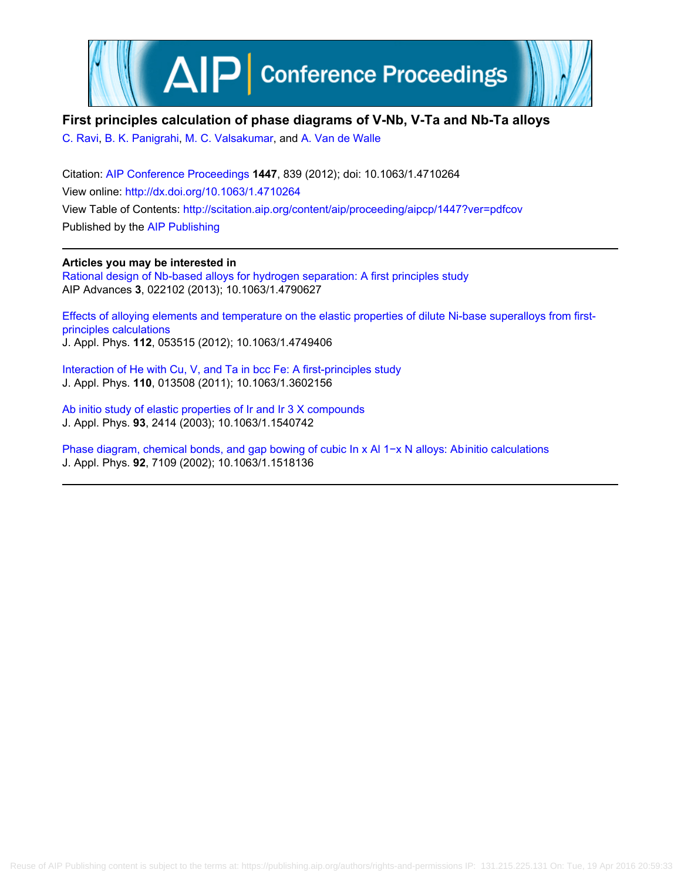

# **First principles calculation of phase diagrams of V-Nb, V-Ta and Nb-Ta alloys**

[C. Ravi,](http://scitation.aip.org/search?value1=C.+Ravi&option1=author) [B. K. Panigrahi,](http://scitation.aip.org/search?value1=B.+K.+Panigrahi&option1=author) [M. C. Valsakumar,](http://scitation.aip.org/search?value1=M.+C.+Valsakumar&option1=author) and [A. Van de Walle](http://scitation.aip.org/search?value1=A.+Van+de+Walle&option1=author)

Citation: [AIP Conference Proceedings](http://scitation.aip.org/content/aip/proceeding/aipcp?ver=pdfcov) **1447**, 839 (2012); doi: 10.1063/1.4710264 View online: <http://dx.doi.org/10.1063/1.4710264> View Table of Contents: <http://scitation.aip.org/content/aip/proceeding/aipcp/1447?ver=pdfcov> Published by the [AIP Publishing](http://scitation.aip.org/content/aip?ver=pdfcov)

**Articles you may be interested in** [Rational design of Nb-based alloys for hydrogen separation: A first principles study](http://scitation.aip.org/content/aip/journal/adva/3/2/10.1063/1.4790627?ver=pdfcov) AIP Advances **3**, 022102 (2013); 10.1063/1.4790627

[Effects of alloying elements and temperature on the elastic properties of dilute Ni-base superalloys from first](http://scitation.aip.org/content/aip/journal/jap/112/5/10.1063/1.4749406?ver=pdfcov)[principles calculations](http://scitation.aip.org/content/aip/journal/jap/112/5/10.1063/1.4749406?ver=pdfcov) J. Appl. Phys. **112**, 053515 (2012); 10.1063/1.4749406

[Interaction of He with Cu, V, and Ta in bcc Fe: A first-principles study](http://scitation.aip.org/content/aip/journal/jap/110/1/10.1063/1.3602156?ver=pdfcov) J. Appl. Phys. **110**, 013508 (2011); 10.1063/1.3602156

[Ab initio study of elastic properties of Ir and Ir 3 X compounds](http://scitation.aip.org/content/aip/journal/jap/93/5/10.1063/1.1540742?ver=pdfcov) J. Appl. Phys. **93**, 2414 (2003); 10.1063/1.1540742

[Phase diagram, chemical bonds, and gap bowing of cubic In x Al 1−x N alloys: Ab initio calculations](http://scitation.aip.org/content/aip/journal/jap/92/12/10.1063/1.1518136?ver=pdfcov) J. Appl. Phys. **92**, 7109 (2002); 10.1063/1.1518136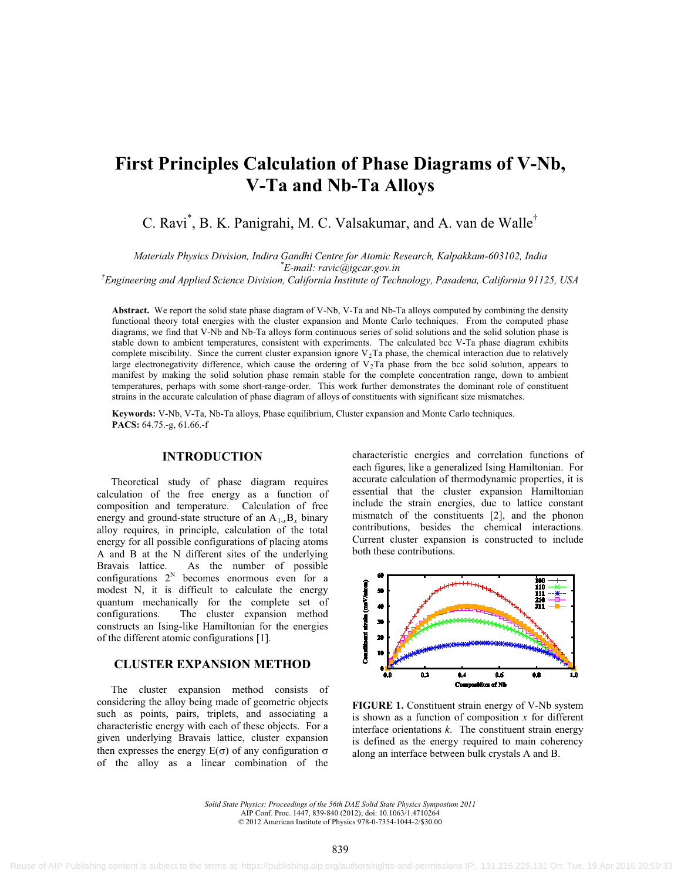# **First Principles Calculation of Phase Diagrams of V-Nb, V-Ta and Nb-Ta Alloys**

C. Ravi<sup>\*</sup>, B. K. Panigrahi, M. C. Valsakumar, and A. van de Walle<sup>†</sup>

*Materials Physics Division, Indira Gandhi Centre for Atomic Research, Kalpakkam-603102, India* 

*\* E-mail: ravic@igcar.gov.in*

*† Engineering and Applied Science Division, California Institute of Technology, Pasadena, California 91125, USA*

**Abstract.** We report the solid state phase diagram of V-Nb, V-Ta and Nb-Ta alloys computed by combining the density functional theory total energies with the cluster expansion and Monte Carlo techniques. From the computed phase diagrams, we find that V-Nb and Nb-Ta alloys form continuous series of solid solutions and the solid solution phase is stable down to ambient temperatures, consistent with experiments. The calculated bcc V-Ta phase diagram exhibits complete miscibility. Since the current cluster expansion ignore  $V_2$ Ta phase, the chemical interaction due to relatively large electronegativity difference, which cause the ordering of  $V_2$ Ta phase from the bcc solid solution, appears to manifest by making the solid solution phase remain stable for the complete concentration range, down to ambient temperatures, perhaps with some short-range-order. This work further demonstrates the dominant role of constituent strains in the accurate calculation of phase diagram of alloys of constituents with significant size mismatches.

**Keywords:** V-Nb, V-Ta, Nb-Ta alloys, Phase equilibrium, Cluster expansion and Monte Carlo techniques. **PACS:** 64.75.-g, 61.66.-f

## **INTRODUCTION**

Theoretical study of phase diagram requires calculation of the free energy as a function of composition and temperature. Calculation of free energy and ground-state structure of an  $A_{1-x}B_x$  binary alloy requires, in principle, calculation of the total energy for all possible configurations of placing atoms A and B at the N different sites of the underlying Bravais lattice. As the number of possible configurations  $2^N$  becomes enormous even for a modest N, it is difficult to calculate the energy quantum mechanically for the complete set of configurations. The cluster expansion method constructs an Ising-like Hamiltonian for the energies of the different atomic configurations [1].

# **CLUSTER EXPANSION METHOD**

The cluster expansion method consists of considering the alloy being made of geometric objects such as points, pairs, triplets, and associating a characteristic energy with each of these objects. For a given underlying Bravais lattice, cluster expansion then expresses the energy  $E(\sigma)$  of any configuration  $\sigma$ of the alloy as a linear combination of the

characteristic energies and correlation functions of each figures, like a generalized Ising Hamiltonian. For accurate calculation of thermodynamic properties, it is essential that the cluster expansion Hamiltonian include the strain energies, due to lattice constant mismatch of the constituents [2], and the phonon contributions, besides the chemical interactions. Current cluster expansion is constructed to include both these contributions.



**FIGURE 1.** Constituent strain energy of V-Nb system is shown as a function of composition *x* for different interface orientations *k*. The constituent strain energy is defined as the energy required to main coherency along an interface between bulk crystals A and B.

*Solid State Physics: Proceedings of the 56th DAE Solid State Physics Symposium 2011* AIP Conf. Proc. 1447, 839-840 (2012); doi: 10.1063/1.4710264 © 2012 American Institute of Physics 978-0-7354-1044-2/\$30.00